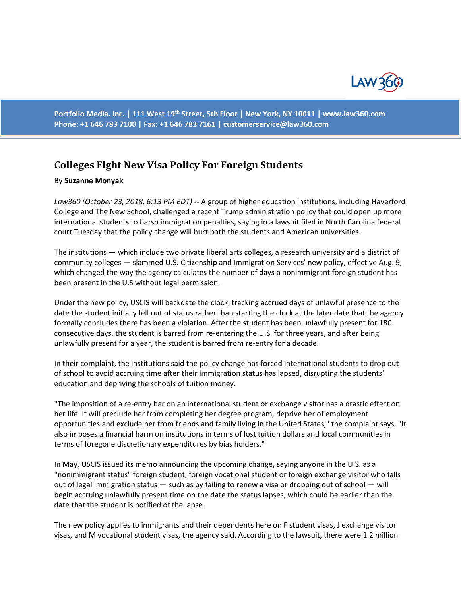

**Portfolio Media. Inc. | 111 West 19th Street, 5th Floor | New York, NY 10011 | www.law360.com Phone: +1 646 783 7100 | Fax: +1 646 783 7161 | [customerservice@law360.com](mailto:customerservice@law360.com)**

## **Colleges Fight New Visa Policy For Foreign Students**

## By **Suzanne Monyak**

*Law360 (October 23, 2018, 6:13 PM EDT)* -- A group of higher education institutions, including Haverford College and The New School, challenged a recent Trump administration policy that could open up more international students to harsh immigration penalties, saying in a lawsuit filed in North Carolina federal court Tuesday that the policy change will hurt both the students and American universities.

The institutions — which include two private liberal arts colleges, a research university and a district of community colleges — slammed U.S. Citizenship and Immigration Services' new policy, effective Aug. 9, which changed the way the agency calculates the number of days a nonimmigrant foreign student has been present in the U.S without legal permission.

Under the new policy, USCIS will backdate the clock, tracking accrued days of unlawful presence to the date the student initially fell out of status rather than starting the clock at the later date that the agency formally concludes there has been a violation. After the student has been unlawfully present for 180 consecutive days, the student is barred from re-entering the U.S. for three years, and after being unlawfully present for a year, the student is barred from re-entry for a decade.

In their complaint, the institutions said the policy change has forced international students to drop out of school to avoid accruing time after their immigration status has lapsed, disrupting the students' education and depriving the schools of tuition money.

"The imposition of a re-entry bar on an international student or exchange visitor has a drastic effect on her life. It will preclude her from completing her degree program, deprive her of employment opportunities and exclude her from friends and family living in the United States," the complaint says. "It also imposes a financial harm on institutions in terms of lost tuition dollars and local communities in terms of foregone discretionary expenditures by bias holders."

In May, USCIS issued its memo announcing the upcoming change, saying anyone in the U.S. as a "nonimmigrant status" foreign student, foreign vocational student or foreign exchange visitor who falls out of legal immigration status — such as by failing to renew a visa or dropping out of school — will begin accruing unlawfully present time on the date the status lapses, which could be earlier than the date that the student is notified of the lapse.

The new policy applies to immigrants and their dependents here on F student visas, J exchange visitor visas, and M vocational student visas, the agency said. According to the lawsuit, there were 1.2 million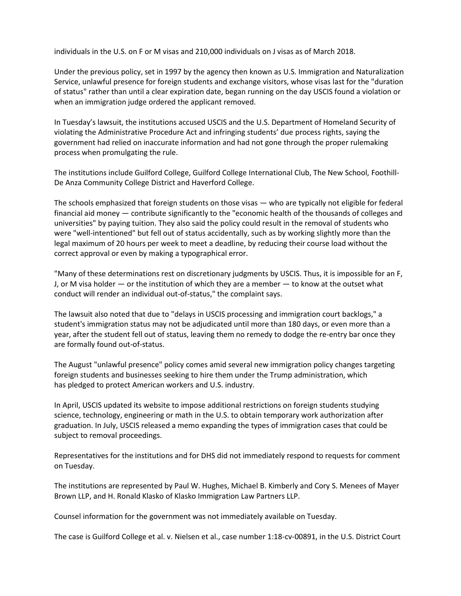individuals in the U.S. on F or M visas and 210,000 individuals on J visas as of March 2018.

Under the previous policy, set in 1997 by the agency then known as U.S. Immigration and Naturalization Service, unlawful presence for foreign students and exchange visitors, whose visas last for the "duration of status" rather than until a clear expiration date, began running on the day USCIS found a violation or when an immigration judge ordered the applicant removed.

In Tuesday's lawsuit, the institutions accused USCIS and the U.S. Department of Homeland Security of violating the Administrative Procedure Act and infringing students' due process rights, saying the government had relied on inaccurate information and had not gone through the proper rulemaking process when promulgating the rule.

The institutions include Guilford College, Guilford College International Club, The New School, Foothill-De Anza Community College District and Haverford College.

The schools emphasized that foreign students on those visas — who are typically not eligible for federal financial aid money — contribute significantly to the "economic health of the thousands of colleges and universities" by paying tuition. They also said the policy could result in the removal of students who were "well-intentioned" but fell out of status accidentally, such as by working slightly more than the legal maximum of 20 hours per week to meet a deadline, by reducing their course load without the correct approval or even by making a typographical error.

"Many of these determinations rest on discretionary judgments by USCIS. Thus, it is impossible for an F, J, or M visa holder — or the institution of which they are a member — to know at the outset what conduct will render an individual out-of-status," the complaint says.

The lawsuit also noted that due to "delays in USCIS processing and immigration court backlogs," a student's immigration status may not be adjudicated until more than 180 days, or even more than a year, after the student fell out of status, leaving them no remedy to dodge the re-entry bar once they are formally found out-of-status.

The August "unlawful presence" policy comes amid several new immigration policy changes targeting foreign students and businesses seeking to hire them under the Trump administration, which has pledged to protect American workers and U.S. industry.

In April, USCIS updated its website to impose additional restrictions on foreign students studying science, technology, engineering or math in the U.S. to obtain temporary work authorization after graduation. In July, USCIS released a memo expanding the types of immigration cases that could be subject to removal proceedings.

Representatives for the institutions and for DHS did not immediately respond to requests for comment on Tuesday.

The institutions are represented by Paul W. Hughes, Michael B. Kimberly and Cory S. Menees of Mayer Brown LLP, and H. Ronald Klasko of Klasko Immigration Law Partners LLP.

Counsel information for the government was not immediately available on Tuesday.

The case is Guilford College et al. v. Nielsen et al., case number 1:18-cv-00891, in the U.S. District Court